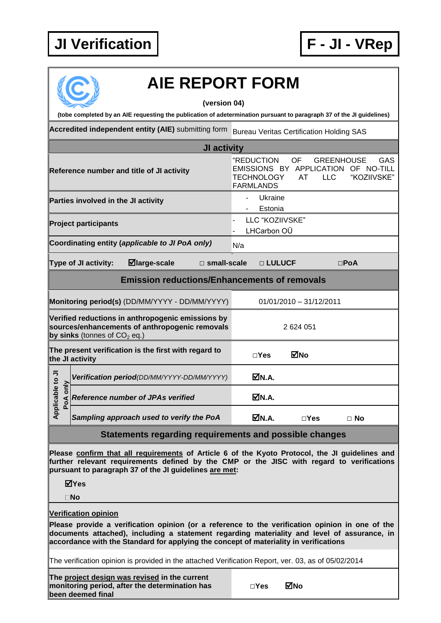## **JI Verification F - JI - VRep**



## **AIE REPORT FORM**

**(version 04)**

**(tobe completed by an AIE requesting the publication of adetermination pursuant to paragraph 37 of the JI guidelines)**

Accredited independent entity (AIE) submitting form Bureau Veritas Certification Holding SAS

| JI activity                                            |                                                                                                                                                                                                                                                       |                                                     |                           |                                                                                |  |  |  |
|--------------------------------------------------------|-------------------------------------------------------------------------------------------------------------------------------------------------------------------------------------------------------------------------------------------------------|-----------------------------------------------------|---------------------------|--------------------------------------------------------------------------------|--|--|--|
|                                                        | Reference number and title of JI activity                                                                                                                                                                                                             | "REDUCTION<br><b>TECHNOLOGY</b><br><b>FARMLANDS</b> | OF<br><b>LLC</b><br>AT    | GAS<br><b>GREENHOUSE</b><br>EMISSIONS BY APPLICATION OF NO-TILL<br>"KOZIIVSKE" |  |  |  |
|                                                        | Parties involved in the JI activity                                                                                                                                                                                                                   | Ukraine<br>$\overline{a}$<br>Estonia                |                           |                                                                                |  |  |  |
|                                                        | <b>Project participants</b>                                                                                                                                                                                                                           | LLC "KOZIIVSKE"<br>LHCarbon OÜ                      |                           |                                                                                |  |  |  |
|                                                        | Coordinating entity (applicable to JI PoA only)                                                                                                                                                                                                       | N/a                                                 |                           |                                                                                |  |  |  |
|                                                        | $\boxdot$ large-scale<br>Type of JI activity:<br>$\square$ small-scale                                                                                                                                                                                | □ LULUCF                                            |                           | $\square$ PoA                                                                  |  |  |  |
| <b>Emission reductions/Enhancements of removals</b>    |                                                                                                                                                                                                                                                       |                                                     |                           |                                                                                |  |  |  |
|                                                        | Monitoring period(s) (DD/MM/YYYY - DD/MM/YYYY)                                                                                                                                                                                                        |                                                     | $01/01/2010 - 31/12/2011$ |                                                                                |  |  |  |
|                                                        | Verified reductions in anthropogenic emissions by<br>sources/enhancements of anthropogenic removals<br>by sinks (tonnes of $CO2$ eq.)                                                                                                                 | 2624051                                             |                           |                                                                                |  |  |  |
| the JI activity                                        | The present verification is the first with regard to                                                                                                                                                                                                  | $\square$ Yes                                       | <b>MNo</b>                |                                                                                |  |  |  |
|                                                        | Verification period(DD/MM/YYYY-DD/MM/YYYY)                                                                                                                                                                                                            | ØN.A.                                               |                           |                                                                                |  |  |  |
| Applicable to JI<br>PoA only                           | <b>Reference number of JPAs verified</b>                                                                                                                                                                                                              | ØN.A.                                               |                           |                                                                                |  |  |  |
|                                                        | Sampling approach used to verify the PoA                                                                                                                                                                                                              | ØN.A.                                               | $\square$ Yes             | $\Box$ No                                                                      |  |  |  |
| Statements regarding requirements and possible changes |                                                                                                                                                                                                                                                       |                                                     |                           |                                                                                |  |  |  |
|                                                        | Please confirm that all requirements of Article 6 of the Kyoto Protocol, the JI guidelines and<br>further relevant requirements defined by the CMP or the JISC with regard to verifications<br>pursuant to paragraph 37 of the JI guidelines are met: |                                                     |                           |                                                                                |  |  |  |

**Yes**

**No**

**Verification opinion**

**Please provide a verification opinion (or a reference to the verification opinion in one of the documents attached), including a statement regarding materiality and level of assurance, in accordance with the Standard for applying the concept of materiality in verifications**

The verification opinion is provided in the attached Verification Report, ver. 03, as of 05/02/2014

**The project design was revised in the current monitoring period, after the determination has been deemed final**